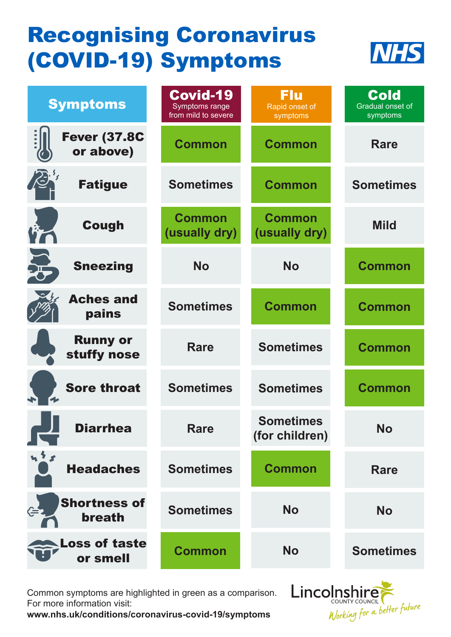## Recognising Coronavirus (COVID-19) Symptoms



| <b>Symptoms</b>                      | Covid-19<br>Symptoms range<br>from mild to severe | <b>Flu</b><br>Rapid onset of<br>symptoms | <b>Cold</b><br>Gradual onset of<br>symptoms |
|--------------------------------------|---------------------------------------------------|------------------------------------------|---------------------------------------------|
| <b>Fever (37.8C</b><br>or above)     | <b>Common</b>                                     | <b>Common</b>                            | Rare                                        |
| $\mathcal{L}$<br><b>Fatigue</b>      | <b>Sometimes</b>                                  | <b>Common</b>                            | <b>Sometimes</b>                            |
| <b>Cough</b>                         | <b>Common</b><br>(usually dry)                    | <b>Common</b><br>(usually dry)           | <b>Mild</b>                                 |
| $\sum_{i=1}^{n}$<br><b>Sneezing</b>  | <b>No</b>                                         | <b>No</b>                                | <b>Common</b>                               |
| <b>Aches and</b><br>pains            | <b>Sometimes</b>                                  | <b>Common</b>                            | <b>Common</b>                               |
| <b>Runny or</b><br>stuffy nose       | <b>Rare</b>                                       | <b>Sometimes</b>                         | <b>Common</b>                               |
| <b>Sore throat</b>                   | <b>Sometimes</b>                                  | <b>Sometimes</b>                         | <b>Common</b>                               |
| <b>Diarrhea</b>                      | <b>Rare</b>                                       | <b>Sometimes</b><br>(for children)       | <b>No</b>                                   |
| $M^2$<br><b>Headaches</b>            | <b>Sometimes</b>                                  | <b>Common</b>                            | Rare                                        |
| <b>Shortness of</b><br><b>breath</b> | <b>Sometimes</b>                                  | <b>No</b>                                | <b>No</b>                                   |
| <b>Loss of taste</b><br>or smell     | <b>Common</b>                                     | <b>No</b>                                | <b>Sometimes</b>                            |

Common symptoms are highlighted in green as a comparison. For more information visit:

**www.nhs.uk/conditions/coronavirus-covid-19/symptoms**

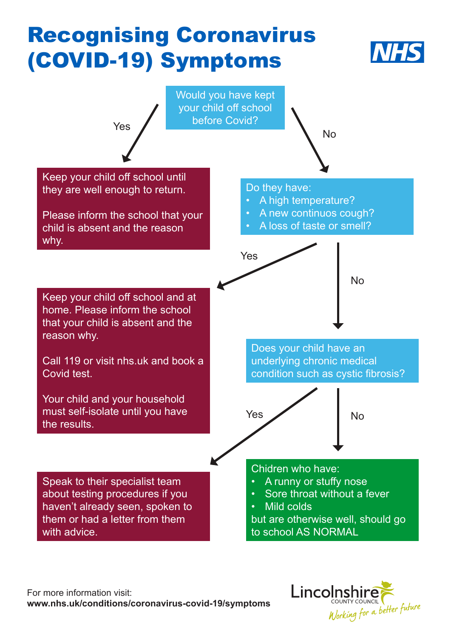## Recognising Coronavirus (COVID-19) Symptoms





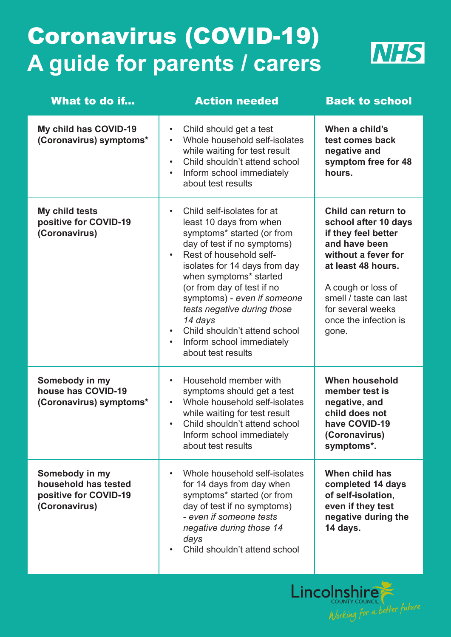## Coronavirus (COVID-19) **A guide for parents / carers**



| What to do if                                                                    | <b>Action needed</b>                                                                                                                                                                                                                                                                                                                                                                                | <b>Back to school</b>                                                                                                                                                                                                                   |
|----------------------------------------------------------------------------------|-----------------------------------------------------------------------------------------------------------------------------------------------------------------------------------------------------------------------------------------------------------------------------------------------------------------------------------------------------------------------------------------------------|-----------------------------------------------------------------------------------------------------------------------------------------------------------------------------------------------------------------------------------------|
| My child has COVID-19<br>(Coronavirus) symptoms*                                 | Child should get a test<br>$\bullet$<br>Whole household self-isolates<br>while waiting for test result<br>Child shouldn't attend school<br>Inform school immediately<br>$\bullet$<br>about test results                                                                                                                                                                                             | When a child's<br>test comes back<br>negative and<br>symptom free for 48<br>hours.                                                                                                                                                      |
| My child tests<br>positive for COVID-19<br>(Coronavirus)                         | Child self-isolates for at<br>least 10 days from when<br>symptoms* started (or from<br>day of test if no symptoms)<br>Rest of household self-<br>isolates for 14 days from day<br>when symptoms* started<br>(or from day of test if no<br>symptoms) - even if someone<br>tests negative during those<br>14 days<br>Child shouldn't attend school<br>Inform school immediately<br>about test results | Child can return to<br>school after 10 days<br>if they feel better<br>and have been<br>without a fever for<br>at least 48 hours.<br>A cough or loss of<br>smell / taste can last<br>for several weeks<br>once the infection is<br>gone. |
| Somebody in my<br>house has COVID-19<br>(Coronavirus) symptoms*                  | Household member with<br>symptoms should get a test<br>Whole household self-isolates<br>while waiting for test result<br>Child shouldn't attend school<br>Inform school immediately<br>about test results                                                                                                                                                                                           | <b>When household</b><br>member test is<br>negative, and<br>child does not<br>have COVID-19<br>(Coronavirus)<br>symptoms*.                                                                                                              |
| Somebody in my<br>household has tested<br>positive for COVID-19<br>(Coronavirus) | Whole household self-isolates<br>for 14 days from day when<br>symptoms* started (or from<br>day of test if no symptoms)<br>- even if someone tests<br>negative during those 14<br>days<br>Child shouldn't attend school<br>$\bullet$                                                                                                                                                                | When child has<br>completed 14 days<br>of self-isolation,<br>even if they test<br>negative during the<br>14 days.                                                                                                                       |